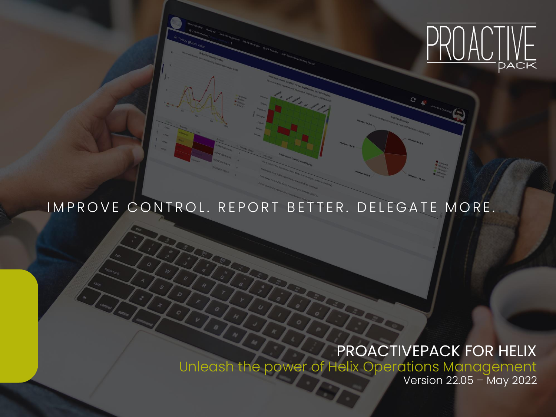

# IMPROVE CONTROL. REPORT BETTER. DELEGATE MORE.

# PROACTIVEPACK FOR HELIX

Unleash the power of Helix Operations Management

Version 22.05 – May 2022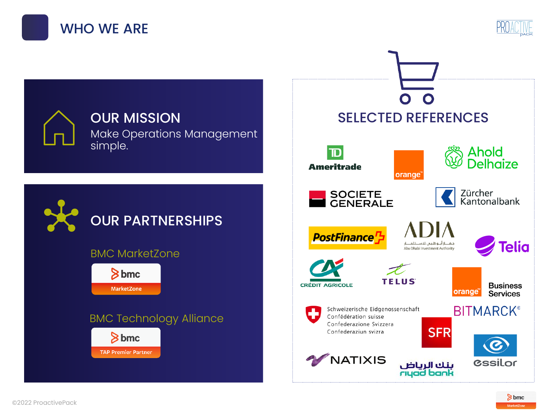





### BMC MarketZone

 $8$  bmc **MarketZone** 

### BMC Technology Alliance $8$  bmc **TAP Premier Partner**

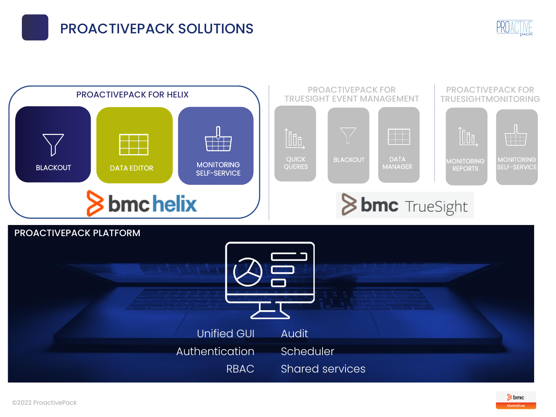# PROACTIVEPACK SOLUTIONS





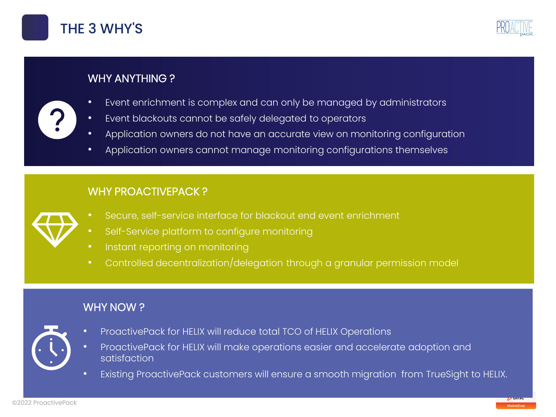





- WHY ANYTHING ?
- Event enrichment is complex and can only be managed by administrators
- Event blackouts cannot be safely delegated to operators
- Application owners do not have an accurate view on monitoring configuration
- Application owners cannot manage monitoring configurations themselves

### WHY PROACTIVEPACK?

- Secure, self-service interface for blackout end event enrichment
- Self-Service platform to configure monitoring
- Instant reporting on monitoring
- Controlled decentralization/delegation through a granular permission model

### WHY NOW ?



- ProactivePack for HELIX will reduce total TCO of HELIX Operations
- ProactivePack for HELIX will make operations easier and accelerate adoption and satisfaction
- Existing ProactivePack customers will ensure a smooth migration from TrueSight to HELIX.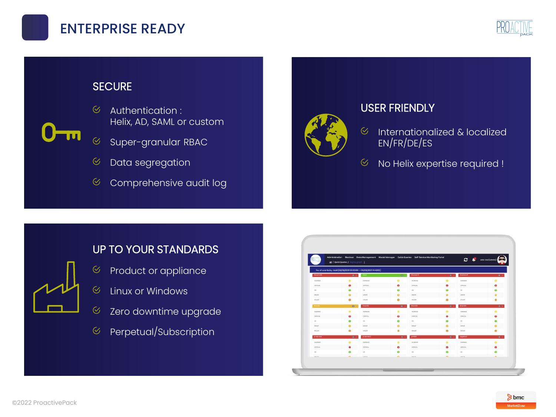



### **SECURE**

 $\infty$ 



- Authentication : Helix, AD, SAML or custom
- Super-granular RBAC  $\overline{\mathcal{C}}$
- Data segregation  $\varnothing$
- $\odot$ Comprehensive audit log



### USER FRIENDLY

- $\infty$ Internationalized & localized EN/FR/DE/ES
- $\infty$ No Helix expertise required !

### UP TO YOUR STANDARDS

- Product or appliance  $\infty$
- $\otimes$ Linux or Windows
- $\odot$ Zero downtime upgrade
- Perpetual/Subscription  $\infty$

|                 |                                   |                                                                    |                          | Administration Blackout Data Management Model Manager Quick Queries Self-Service Monitoring Portal |                | $c \cdot e$     | John Doe (Admins) |
|-----------------|-----------------------------------|--------------------------------------------------------------------|--------------------------|----------------------------------------------------------------------------------------------------|----------------|-----------------|-------------------|
|                 | # / Quick Quartes / Display groph |                                                                    |                          |                                                                                                    |                |                 |                   |
|                 |                                   | No. of events by Host (06/08/2021 00:00:00 -> 06/08/2021 14:48:52) |                          |                                                                                                    |                |                 |                   |
| chaprodb        | $\frac{1}{2}$                     | time                                                               | $\circ$                  | Increment                                                                                          | $\overline{B}$ | inorgan/2       | $\mathbf{u}$      |
| CARSTRAN        | ٠                                 | WWISHIO                                                            | $\circ$                  | <b>DAMAN</b>                                                                                       | ٠              | <b>WARNING</b>  | ۰                 |
| centras.        | $\bullet$                         | <b>CRIVER</b>                                                      | $\bullet$                | CHYCH.                                                                                             | $\bullet$      | <b>ORTICAL</b>  | $\bullet$         |
| or.             | $\bullet$                         | OK.                                                                | $\bullet$                | oc.                                                                                                | $\circ$        | oc.             | $\bullet$         |
| MADE:           | $\circ$                           | MADE                                                               | $\circ$                  | MINOR                                                                                              | $\bullet$      | MNOR            | ۰                 |
| MAJOR           | $\circ$                           | <b>MAJOR</b>                                                       | $\circ$                  | MAJOE                                                                                              | $\circ$        | MAJOE           | $\bullet$         |
| <b>Thursday</b> | $\Omega$                          | Ensuri92                                                           | <b>COL</b>               | Insurat                                                                                            | $\sim$         | <b>Incorde</b>  | $-100 - 10$       |
| wareness        | $\circ$                           | <b>Walnutes</b>                                                    | $\circ$                  | <b>VEAMING</b>                                                                                     | $\circ$        | <b>SUUMMER</b>  | $\bullet$         |
| <b>CEREAL</b>   | $\bullet$                         | CARGAL                                                             | $\bullet$                | <b>ORTICAL</b>                                                                                     | $\bullet$      | <b>CRTCAL</b>   | $\bullet$         |
| os:             | $\bullet$                         | or                                                                 | $\bullet$                | oc.                                                                                                | $\bullet$      | $_{\alpha}$     | $\bullet$         |
| MACE.           | $\circ$                           | MADE                                                               | $\bullet$                | MVDE                                                                                               | $\circ$        | servom          | $\bullet$         |
| <b>MAJOR</b>    | $\bullet$                         | <b>MAJOR</b>                                                       | $\bullet$                | MAJOR                                                                                              | $\bullet$      | MAJOR           | $\bullet$         |
| pretering.      | $-40 - 4$                         | $p$ -die-erv2                                                      | $\sim$                   | preson                                                                                             | $\sim$         | soperu'z        | $40 -$            |
| WARNING         | $\bullet$                         | <b>Warnings</b>                                                    | $\bullet$                | WARRING.                                                                                           | $\circ$        | <b>ISLAMING</b> | ٠                 |
| CRITICAL        | $\bullet$                         | <b>CEREAL</b>                                                      | $\bullet$                | <b>CRECKL</b>                                                                                      | $\bullet$      | <b>CRTICAL</b>  | $\bullet$         |
| $\infty$        | $\bullet$                         | or.                                                                | $\bullet$                | oc.                                                                                                | $\bullet$      | oc.             | $\bullet$         |
| cases.          | in.                               | assets.                                                            | $\overline{\phantom{a}}$ | Amortes.                                                                                           | e.             | ADMUSIC         | $\sim$            |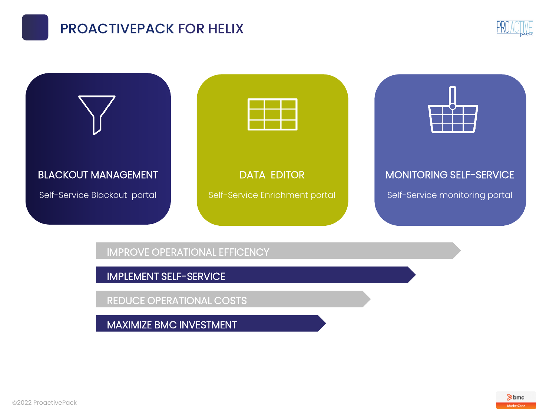# PROACTIVEPACK FOR HELIX





IMPROVE OPERATIONAL EFFICENCY

IMPLEMENT SELF-SERVICE

REDUCE OPERATIONAL COSTS

MAXIMIZE BMC INVESTMENT

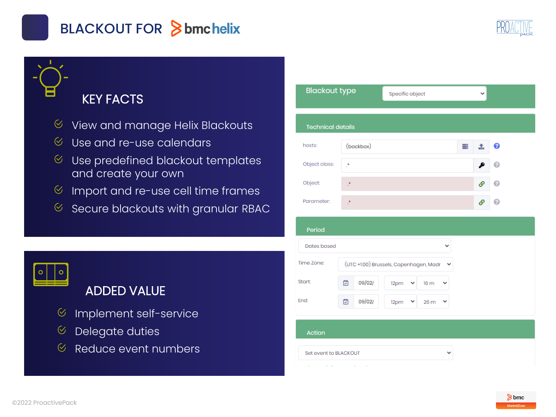

# BLACKOUT FOR Sbmchelix



## KEY FACTS

- $\%$  View and manage Helix Blackouts
- $\%$  Use and re-use calendars
- $\%$  Use predefined blackout templates and create your own
- $\%$  Import and re-use cell time frames
- $\%$  Secure blackouts with granular RBAC

# ADDED VALUE

- $\heartsuit$ Implement self-service
- Delegate duties  $\heartsuit$
- Reduce event numbers $\heartsuit$

| <b>Blackout type</b>         |              |                                        | Specific object      |   |    |   |  |
|------------------------------|--------------|----------------------------------------|----------------------|---|----|---|--|
| <b>Technical details</b>     |              |                                        |                      |   |    |   |  |
| hosts:                       | (backbox)    |                                        |                      | ≣ | 土  | 0 |  |
| Object class:                | ¢,           |                                        |                      |   |    | Q |  |
| Object:                      | Ĵ.           |                                        |                      |   | டு | Q |  |
| Parameter:                   | <sup>*</sup> |                                        |                      |   | டு | Ω |  |
| Period<br><b>Dates based</b> |              |                                        | v                    |   |    |   |  |
| Time Zone:                   |              | (UTC +1:00) Brussels, Copenhagen, Madr | 丷                    |   |    |   |  |
| <b>Start:</b>                | 09/02/<br>茴  | 12pm<br>v                              | 16 m<br>v            |   |    |   |  |
| End:                         | 囪<br>09/02/  | 12pm<br>v                              | 26 <sub>m</sub><br>٧ |   |    |   |  |
|                              |              |                                        |                      |   |    |   |  |
| <b>Action</b>                |              |                                        |                      |   |    |   |  |
| Set event to BLACKOUT        |              |                                        | ◡                    |   |    |   |  |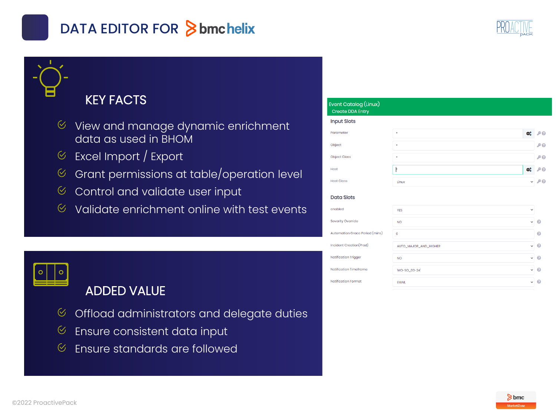# DATA EDITOR FOR **Sbmchelix**



### KEY FACTS

- $\%$  View and manage dynamic enrichment data as used in BHOM
- Excel Import / Export  $\bigcirc$
- Grant permissions at table/operation level  $\heartsuit$
- $\heartsuit$ Control and validate user input
- $\infty$ Validate enrichment online with test events



## ADDED VALUE

- $\heartsuit$ Offload administrators and delegate duties
- $\heartsuit$ Ensure consistent data input
- Ensure standards are followed $\heartsuit$

### Event Catalog (Linux)

#### **Create DDA Entry**

#### **Input Slots** Parameter  $x_0^o$   $\rho$   $\theta$  $PQ$ Object **Object Class PQ** Host Ō. **Pe Host Class**  $\sim 20$ Tinux

#### **Data Slots**

enabled Severity Ov Automation Incident Cr Notification Notification Notification

| <b>YES</b>                            | $\checkmark$ |           |
|---------------------------------------|--------------|-----------|
| erride<br><b>NO</b>                   | $\checkmark$ | $\bullet$ |
| Grace Period (mins)<br>$\circ$        |              | $\bullet$ |
| eation(Prod)<br>AUTO_MAJOR_AND_HIGHER | $\checkmark$ | $\bullet$ |
| Trigger<br><b>NO</b>                  | $\checkmark$ | $\bullet$ |
| Timeframe<br>'MO-SO_00-24'            | $\checkmark$ | $\bullet$ |
| Format<br><b>EMAIL</b>                | $\checkmark$ | ℯ         |

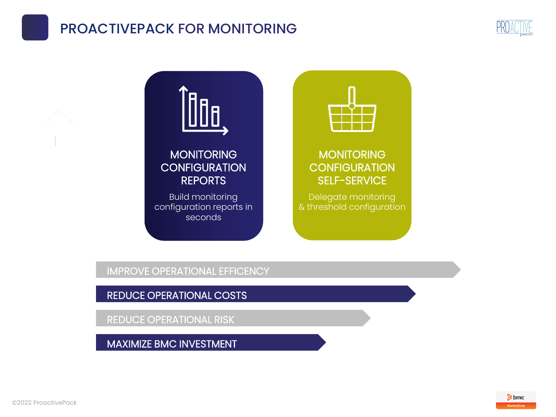## PROACTIVEPACK FOR MONITORING





### **MONITORING CONFIGURATION** REPORTS

Build monitoring configuration reports in seconds



MONITORING **CONFIGURATION** SELF-SERVICE

Delegate monitoring & threshold configuration

IMPROVE OPERATIONAL EFFICENCY

REDUCE OPERATIONAL COSTS

REDUCE OPERATIONAL RISK

MAXIMIZE BMC INVESTMENT

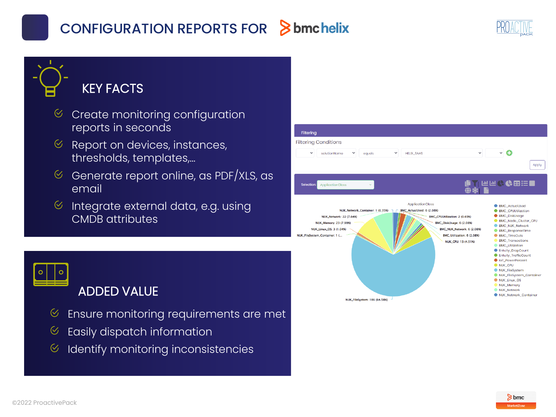# CONFIGURATION REPORTS FOR



### KEY FACTS

- $\heartsuit$ Create monitoring configuration reports in seconds
- $\%$  Report on devices, instances, thresholds, templates,…
- $\heartsuit$ Generate report online, as PDF/XLS, as email
- Integrate external data, e.g. using  $\heartsuit$ CMDB attributes



ADDED VALUE

- $\infty$ Ensure monitoring requirements are met
- Easily dispatch information  $\otimes$
- $\heartsuit$ Identify monitoring inconsistencies

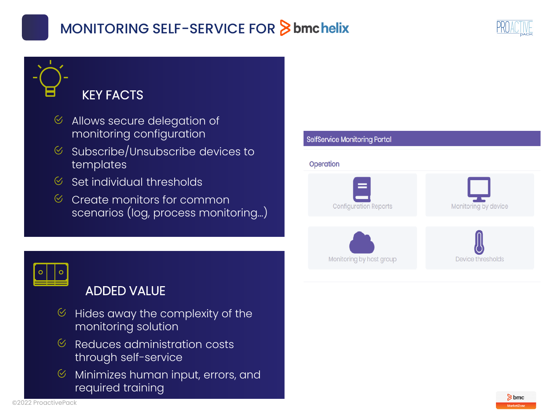# MONITORING SELF-SERVICE FOR Sbmchelix



# KEY FACTS

- Allows secure delegation of  $\heartsuit$ monitoring configuration
- $\%$  Subscribe/Unsubscribe devices to templates
- $\%$  Set individual thresholds
- $\%$  Create monitors for common scenarios (log, process monitoring…)





### ADDED VALUE

- Hides away the complexity of the  $\heartsuit$ monitoring solution
- $\mathcal C$  Reduces administration costs through self-service
- Minimizes human input, errors, and  $\heartsuit$ required training

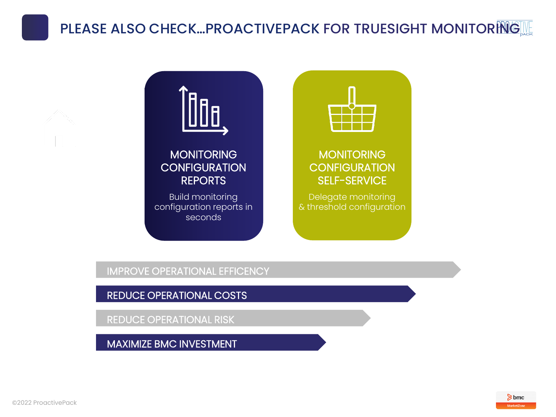# PLEASE ALSO CHECK...PROACTIVEPACK FOR TRUESIGHT MONITORINGILLE



### IMPROVE OPERATIONAL EFFICENCY

REDUCE OPERATIONAL COSTS

REDUCE OPERATIONAL RISK

MAXIMIZE BMC INVESTMENT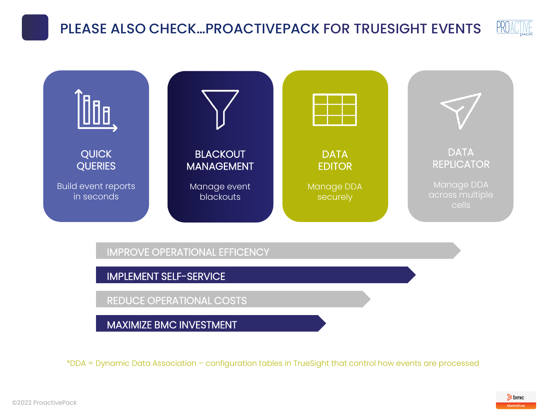### **PROACTIVE** PLEASE ALSO CHECK…PROACTIVEPACK FOR TRUESIGHT EVENTS



securely

in seconds

IMPROVE OPERATIONAL EFFICENCY

blackouts

IMPLEMENT SELF-SERVICE

REDUCE OPERATIONAL COSTS

MAXIMIZE BMC INVESTMENT

\*DDA = Dynamic Data Association – configuration tables in TrueSight that control how events are processed

cells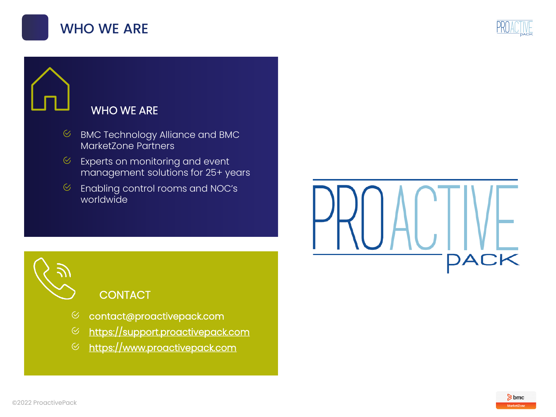



### WHO WE ARE

- $\infty$ BMC Technology Alliance and BMC MarketZone Partners
- $\heartsuit$ Experts on monitoring and event management solutions for 25+ years
- Enabling control rooms and NOC's  $\otimes$ worldwide

### **CONTACT**

- contact@proactivepack.com
- [https://support.proactivepack.com](https://support.proactivepack.com/)  $\infty$
- [https://www.proactivepack.com](http://www.proactivepack.com/)



DACK